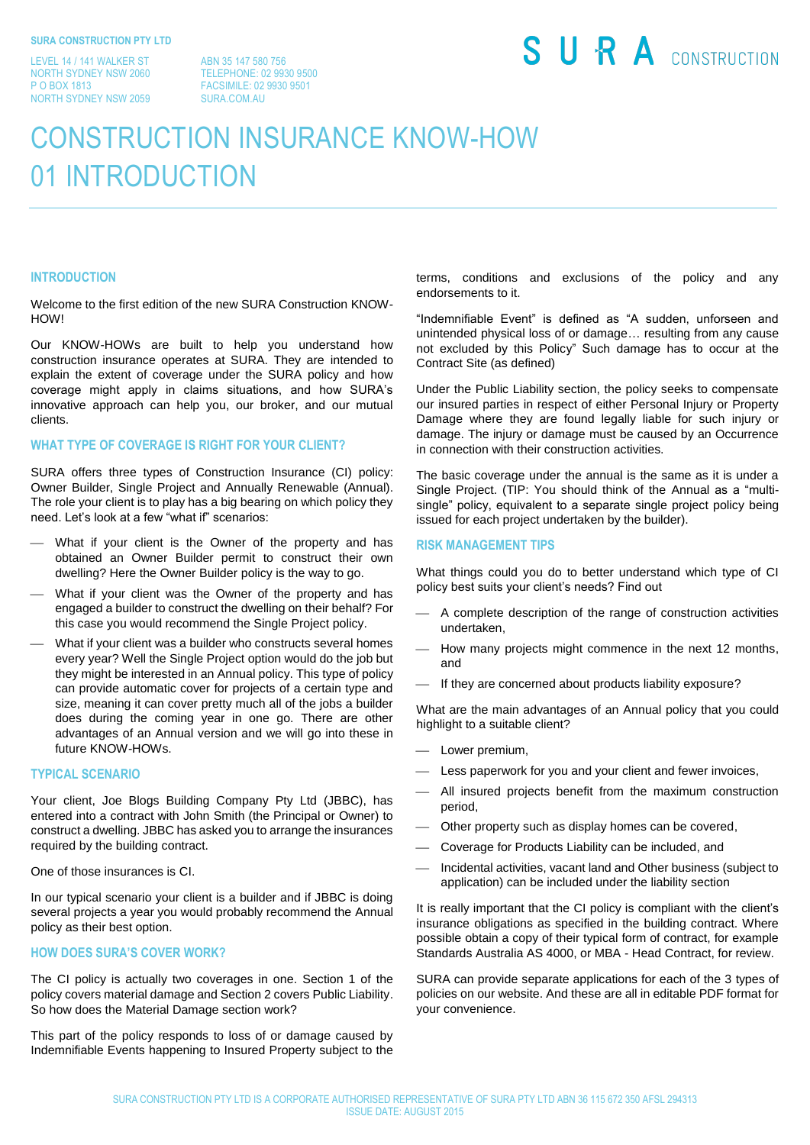LEVEL 14 / 141 WALKER ST NORTH SYDNEY NSW 2060 P O BOX 1813 NORTH SYDNEY NSW 2059

ABN 35 147 580 756 TELEPHONE: 02 9930 9500 FACSIMILE: 02 9930 9501 SURA.COM.AU

# SURA CONSTRUCTION

## CONSTRUCTION INSURANCE KNOW-HOW 01 INTRODUCTION

#### **INTRODUCTION**

Welcome to the first edition of the new SURA Construction KNOW-**HOW!** 

Our KNOW-HOWs are built to help you understand how construction insurance operates at SURA. They are intended to explain the extent of coverage under the SURA policy and how coverage might apply in claims situations, and how SURA's innovative approach can help you, our broker, and our mutual clients.

### **WHAT TYPE OF COVERAGE IS RIGHT FOR YOUR CLIENT?**

SURA offers three types of Construction Insurance (CI) policy: Owner Builder, Single Project and Annually Renewable (Annual). The role your client is to play has a big bearing on which policy they need. Let's look at a few "what if" scenarios:

- What if your client is the Owner of the property and has obtained an Owner Builder permit to construct their own dwelling? Here the Owner Builder policy is the way to go.
- What if your client was the Owner of the property and has engaged a builder to construct the dwelling on their behalf? For this case you would recommend the Single Project policy.
- What if your client was a builder who constructs several homes every year? Well the Single Project option would do the job but they might be interested in an Annual policy. This type of policy can provide automatic cover for projects of a certain type and size, meaning it can cover pretty much all of the jobs a builder does during the coming year in one go. There are other advantages of an Annual version and we will go into these in future KNOW-HOWs.

#### **TYPICAL SCENARIO**

Your client, Joe Blogs Building Company Pty Ltd (JBBC), has entered into a contract with John Smith (the Principal or Owner) to construct a dwelling. JBBC has asked you to arrange the insurances required by the building contract.

#### One of those insurances is CI.

In our typical scenario your client is a builder and if JBBC is doing several projects a year you would probably recommend the Annual policy as their best option.

#### **HOW DOES SURA'S COVER WORK?**

The CI policy is actually two coverages in one. Section 1 of the policy covers material damage and Section 2 covers Public Liability. So how does the Material Damage section work?

This part of the policy responds to loss of or damage caused by Indemnifiable Events happening to Insured Property subject to the terms, conditions and exclusions of the policy and any endorsements to it.

"Indemnifiable Event" is defined as "A sudden, unforseen and unintended physical loss of or damage… resulting from any cause not excluded by this Policy" Such damage has to occur at the Contract Site (as defined)

Under the Public Liability section, the policy seeks to compensate our insured parties in respect of either Personal Injury or Property Damage where they are found legally liable for such injury or damage. The injury or damage must be caused by an Occurrence in connection with their construction activities.

The basic coverage under the annual is the same as it is under a Single Project. (TIP: You should think of the Annual as a "multisingle" policy, equivalent to a separate single project policy being issued for each project undertaken by the builder).

#### **RISK MANAGEMENT TIPS**

What things could you do to better understand which type of CI policy best suits your client's needs? Find out

- A complete description of the range of construction activities undertaken,
- How many projects might commence in the next 12 months, and
- If they are concerned about products liability exposure?

What are the main advantages of an Annual policy that you could highlight to a suitable client?

- Lower premium,
- Less paperwork for you and your client and fewer invoices,
- All insured projects benefit from the maximum construction period,
- Other property such as display homes can be covered,
- Coverage for Products Liability can be included, and
- Incidental activities, vacant land and Other business (subject to application) can be included under the liability section

It is really important that the CI policy is compliant with the client's insurance obligations as specified in the building contract. Where possible obtain a copy of their typical form of contract, for example Standards Australia AS 4000, or MBA - Head Contract, for review.

SURA can provide separate applications for each of the 3 types of policies on our website. And these are all in editable PDF format for your convenience.